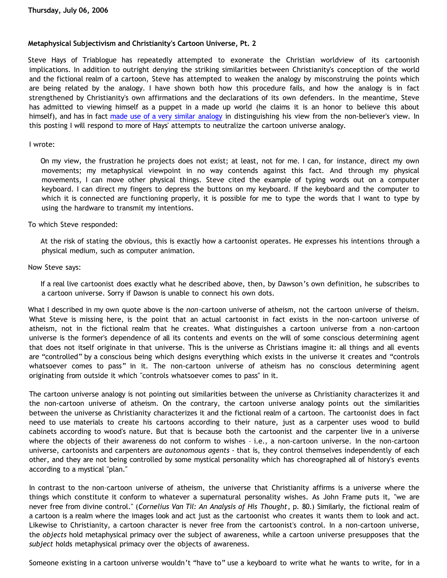# **Metaphysical Subjectivism and Christianity's Cartoon Universe, Pt. 2**

Steve Hays of Triablogue has repeatedly attempted to exonerate the Christian worldview of its cartoonish implications. In addition to outright denying the striking similarities between Christianity's conception of the world and the fictional realm of a cartoon, Steve has attempted to weaken the analogy by misconstruing the points which are being related by the analogy. I have shown both how this procedure fails, and how the analogy is in fact strengthened by Christianity's own affirmations and the declarations of its own defenders. In the meantime, Steve has admitted to viewing himself as a puppet in a made up world (he claims it is an honor to believe this about himself), and has in fact [made use of a very similar analogy](http://bahnsenburner.blogspot.com/2006/07/see-i-told-you-so.html) in distinguishing his view from the non-believer's view. In this posting I will respond to more of Hays' attempts to neutralize the cartoon universe analogy.

# I wrote:

On my view, the frustration he projects does not exist; at least, not for me. I can, for instance, direct my own movements; my metaphysical viewpoint in no way contends against this fact. And through my physical movements, I can move other physical things. Steve cited the example of typing words out on a computer keyboard. I can direct my fingers to depress the buttons on my keyboard. If the keyboard and the computer to which it is connected are functioning properly, it is possible for me to type the words that I want to type by using the hardware to transmit my intentions.

To which Steve responded:

At the risk of stating the obvious, this is exactly how a cartoonist operates. He expresses his intentions through a physical medium, such as computer animation.

# Now Steve says:

If a real live cartoonist does exactly what he described above, then, by Dawson's own definition, he subscribes to a cartoon universe. Sorry if Dawson is unable to connect his own dots.

What I described in my own quote above is the *non*-cartoon universe of atheism, not the cartoon universe of theism. What Steve is missing here, is the point that an actual cartoonist in fact exists in the non-cartoon universe of atheism, not in the fictional realm that he creates. What distinguishes a cartoon universe from a non-cartoon universe is the former's dependence of all its contents and events on the will of some conscious determining agent that does not itself originate in that universe. This is the universe as Christians imagine it: all things and all events are "controlled" by a conscious being which designs everything which exists in the universe it creates and "controls whatsoever comes to pass" in it. The non-cartoon universe of atheism has no conscious determining agent originating from outside it which "controls whatsoever comes to pass" in it.

The cartoon universe analogy is not pointing out similarities between the universe as Christianity characterizes it and the non-cartoon universe of atheism. On the contrary, the cartoon universe analogy points out the similarities between the universe as Christianity characterizes it and the fictional realm of a cartoon. The cartoonist does in fact need to use materials to create his cartoons according to their nature, just as a carpenter uses wood to build cabinets according to wood's nature. But that is because both the cartoonist and the carpenter live in a universe where the objects of their awareness do not conform to wishes - i.e., a non-cartoon universe. In the non-cartoon universe, cartoonists and carpenters are *autonomous agents* - that is, they control themselves independently of each other, and they are not being controlled by some mystical personality which has choreographed all of history's events according to a mystical "plan."

In contrast to the non-cartoon universe of atheism, the universe that Christianity affirms is a universe where the things which constitute it conform to whatever a supernatural personality wishes. As John Frame puts it, "we are never free from divine control." (*Cornelius Van Til: An Analysis of His Thought*, p. 80.) Similarly, the fictional realm of a cartoon is a realm where the images look and act just as the cartoonist who creates it wants them to look and act. Likewise to Christianity, a cartoon character is never free from the cartoonist's control. In a non-cartoon universe, the *objects* hold metaphysical primacy over the subject of awareness, while a cartoon universe presupposes that the *subject* holds metaphysical primacy over the objects of awareness.

Someone existing in a cartoon universe wouldn't "have to" use a keyboard to write what he wants to write, for in a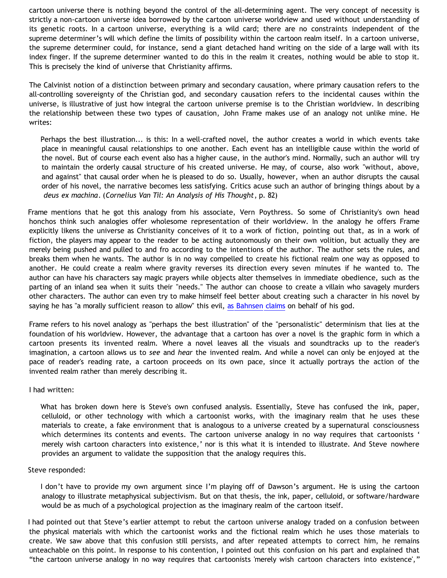cartoon universe there is nothing beyond the control of the all-determining agent. The very concept of necessity is strictly a non-cartoon universe idea borrowed by the cartoon universe worldview and used without understanding of its genetic roots. In a cartoon universe, everything is a wild card; there are no constraints independent of the supreme determiner's will which define the limits of possibility within the cartoon realm itself. In a cartoon universe, the supreme determiner could, for instance, send a giant detached hand writing on the side of a large wall with its index finger. If the supreme determiner wanted to do this in the realm it creates, nothing would be able to stop it. This is precisely the kind of universe that Christianity affirms.

The Calvinist notion of a distinction between primary and secondary causation, where primary causation refers to the all-controlling sovereignty of the Christian god, and secondary causation refers to the incidental causes within the universe, is illustrative of just how integral the cartoon universe premise is to the Christian worldview. In describing the relationship between these two types of causation, John Frame makes use of an analogy not unlike mine. He writes:

Perhaps the best illustration... is this: In a well-crafted novel, the author creates a world in which events take place in meaningful causal relationships to one another. Each event has an intelligible cause within the world of the novel. But of course each event also has a higher cause, in the author's mind. Normally, such an author will try to maintain the orderly causal structure of his created universe. He may, of course, also work "without, above, and against" that causal order when he is pleased to do so. Usually, however, when an author disrupts the causal order of his novel, the narrative becomes less satisfying. Critics acuse such an author of bringing things about by a *deus ex machina*. (*Cornelius Van Til: An Analysis of His Thought*, p. 82)

Frame mentions that he got this analogy from his associate, Vern Poythress. So some of Christianity's own head honchos think such analogies offer wholesome representation of their worldview. In the analogy he offers Frame explicitly likens the universe as Christianity conceives of it to a work of fiction, pointing out that, as in a work of fiction, the players may appear to the reader to be acting autonomously on their own volition, but actually they are merely being pushed and pulled to and fro according to the intentions of the author. The author sets the rules, and breaks them when he wants. The author is in no way compelled to create his fictional realm one way as opposed to another. He could create a realm where gravity reverses its direction every seven minutes if he wanted to. The author can have his characters say magic prayers while objects alter themselves in immediate obedience, such as the parting of an inland sea when it suits their "needs." The author can choose to create a villain who savagely murders other characters. The author can even try to make himself feel better about creating such a character in his novel by saying he has "a morally sufficient reason to allow" this evil, [as Bahnsen claims](http://www.cmfnow.com/articles/pa105.htm) on behalf of his god.

Frame refers to his novel analogy as "perhaps the best illustration" of the "personalistic" determinism that lies at the foundation of his worldview. However, the advantage that a cartoon has over a novel is the graphic form in which a cartoon presents its invented realm. Where a novel leaves all the visuals and soundtracks up to the reader's imagination, a cartoon allows us to *see* and *hear* the invented realm. And while a novel can only be enjoyed at the pace of reader's reading rate, a cartoon proceeds on its own pace, since it actually portrays the action of the invented realm rather than merely describing it.

## I had written:

What has broken down here is Steve's own confused analysis. Essentially, Steve has confused the ink, paper, celluloid, or other technology with which a cartoonist works, with the imaginary realm that he uses these materials to create, a fake environment that is analogous to a universe created by a supernatural consciousness which determines its contents and events. The cartoon universe analogy in no way requires that cartoonists ' merely wish cartoon characters into existence,' nor is this what it is intended to illustrate. And Steve nowhere provides an argument to validate the supposition that the analogy requires this.

## Steve responded:

I don't have to provide my own argument since I'm playing off of Dawson's argument. He is using the cartoon analogy to illustrate metaphysical subjectivism. But on that thesis, the ink, paper, celluloid, or software/hardware would be as much of a psychological projection as the imaginary realm of the cartoon itself.

I had pointed out that Steve's earlier attempt to rebut the cartoon universe analogy traded on a confusion between the physical materials with which the cartoonist works and the fictional realm which he uses those materials to create. We saw above that this confusion still persists, and after repeated attempts to correct him, he remains unteachable on this point. In response to his contention, I pointed out this confusion on his part and explained that "the cartoon universe analogy in no way requires that cartoonists 'merely wish cartoon characters into existence',"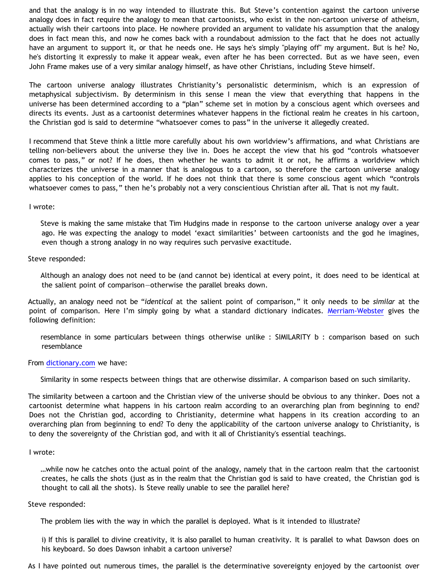and that the analogy is in no way intended to illustrate this. But Steve's contention against the cartoon universe analogy does in fact require the analogy to mean that cartoonists, who exist in the non-cartoon universe of atheism, actually wish their cartoons into place. He nowhere provided an argument to validate his assumption that the analogy does in fact mean this, and now he comes back with a roundabout admission to the fact that he does not actually have an argument to support it, or that he needs one. He says he's simply "playing off" my argument. But is he? No, he's distorting it expressly to make it appear weak, even after he has been corrected. But as we have seen, even John Frame makes use of a very similar analogy himself, as have other Christians, including Steve himself.

The cartoon universe analogy illustrates Christianity's personalistic determinism, which is an expression of metaphysical subjectivism. By determinism in this sense I mean the view that everything that happens in the universe has been determined according to a "plan" scheme set in motion by a conscious agent which oversees and directs its events. Just as a cartoonist determines whatever happens in the fictional realm he creates in his cartoon, the Christian god is said to determine "whatsoever comes to pass" in the universe it allegedly created.

I recommend that Steve think a little more carefully about his own worldview's affirmations, and what Christians are telling non-believers about the universe they live in. Does he accept the view that his god "controls whatsoever comes to pass," or not? If he does, then whether he wants to admit it or not, he affirms a worldview which characterizes the universe in a manner that is analogous to a cartoon, so therefore the cartoon universe analogy applies to his conception of the world. If he does not think that there is some conscious agent which "controls whatsoever comes to pass," then he's probably not a very conscientious Christian after all. That is not my fault.

I wrote:

Steve is making the same mistake that Tim Hudgins made in response to the cartoon universe analogy over a year ago. He was expecting the analogy to model 'exact similarities' between cartoonists and the god he imagines, even though a strong analogy in no way requires such pervasive exactitude.

Steve responded:

Although an analogy does not need to be (and cannot be) identical at every point, it does need to be identical at the salient point of comparison—otherwise the parallel breaks down.

Actually, an analogy need not be "*identical* at the salient point of comparison," it only needs to be *similar* at the point of comparison. Here I'm simply going by what a standard dictionary indicates. [Merriam-Webster](http://www.m-w.com/dictionary/analogy) gives the following definition:

resemblance in some particulars between things otherwise unlike : SIMILARITY b : comparison based on such resemblance

From [dictionary.com](http://dictionary.reference.com/browse/analogy) we have:

Similarity in some respects between things that are otherwise dissimilar. A comparison based on such similarity.

The similarity between a cartoon and the Christian view of the universe should be obvious to any thinker. Does not a cartoonist determine what happens in his cartoon realm according to an overarching plan from beginning to end? Does not the Christian god, according to Christianity, determine what happens in its creation according to an overarching plan from beginning to end? To deny the applicability of the cartoon universe analogy to Christianity, is to deny the sovereignty of the Christian god, and with it all of Christianity's essential teachings.

## I wrote:

…while now he catches onto the actual point of the analogy, namely that in the cartoon realm that the cartoonist creates, he calls the shots (just as in the realm that the Christian god is said to have created, the Christian god is thought to call all the shots). Is Steve really unable to see the parallel here?

## Steve responded:

The problem lies with the way in which the parallel is deployed. What is it intended to illustrate?

i) If this is parallel to divine creativity, it is also parallel to human creativity. It is parallel to what Dawson does on his keyboard. So does Dawson inhabit a cartoon universe?

As I have pointed out numerous times, the parallel is the determinative sovereignty enjoyed by the cartoonist over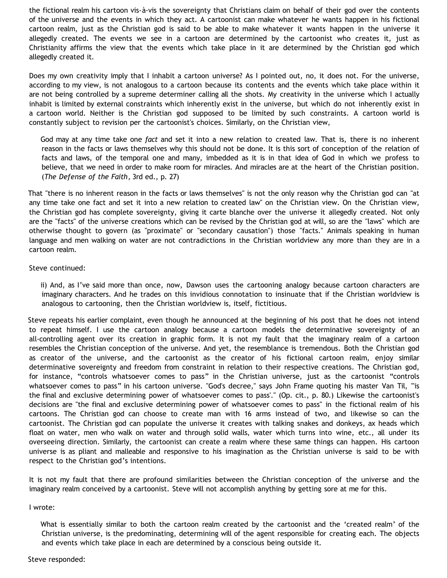the fictional realm his cartoon vis-à-vis the sovereignty that Christians claim on behalf of their god over the contents of the universe and the events in which they act. A cartoonist can make whatever he wants happen in his fictional cartoon realm, just as the Christian god is said to be able to make whatever it wants happen in the universe it allegedly created. The events we see in a cartoon are determined by the cartoonist who creates it, just as Christianity affirms the view that the events which take place in it are determined by the Christian god which allegedly created it.

Does my own creativity imply that I inhabit a cartoon universe? As I pointed out, no, it does not. For the universe, according to my view, is not analogous to a cartoon because its contents and the events which take place within it are not being controlled by a supreme determiner calling all the shots. My creativity in the universe which I actually inhabit is limited by external constraints which inherently exist in the universe, but which do not inherently exist in a cartoon world. Neither is the Christian god supposed to be limited by such constraints. A cartoon world is constantly subject to revision per the cartoonist's choices. Similarly, on the Christian view,

God may at any time take one *fact* and set it into a new relation to created law. That is, there is no inherent reason in the facts or laws themselves why this should not be done. It is this sort of conception of the relation of facts and laws, of the temporal one and many, imbedded as it is in that idea of God in which we profess to believe, that we need in order to make room for miracles. And miracles are at the heart of the Christian position. (*The Defense of the Faith*, 3rd ed., p. 27)

That "there is no inherent reason in the facts or laws themselves" is not the only reason why the Christian god can "at any time take one fact and set it into a new relation to created law" on the Christian view. On the Christian view, the Christian god has complete sovereignty, giving it carte blanche over the universe it allegedly created. Not only are the "facts" of the universe creations which can be revised by the Christian god at will, so are the "laws" which are otherwise thought to govern (as "proximate" or "secondary causation") those "facts." Animals speaking in human language and men walking on water are not contradictions in the Christian worldview any more than they are in a cartoon realm.

#### Steve continued:

ii) And, as I've said more than once, now, Dawson uses the cartooning analogy because cartoon characters are imaginary characters. And he trades on this invidious connotation to insinuate that if the Christian worldview is analogous to cartooning, then the Christian worldview is, itself, fictitious.

Steve repeats his earlier complaint, even though he announced at the beginning of his post that he does not intend to repeat himself. I use the cartoon analogy because a cartoon models the determinative sovereignty of an all-controlling agent over its creation in graphic form. It is not my fault that the imaginary realm of a cartoon resembles the Christian conception of the universe. And yet, the resemblance is tremendous. Both the Christian god as creator of the universe, and the cartoonist as the creator of his fictional cartoon realm, enjoy similar determinative sovereignty and freedom from constraint in relation to their respective creations. The Christian god, for instance, "controls whatsoever comes to pass" in the Christian universe, just as the cartoonist "controls whatsoever comes to pass" in his cartoon universe. "God's decree," says John Frame quoting his master Van Til, "'is the final and exclusive determining power of whatsoever comes to pass'." (Op. cit., p. 80.) Likewise the cartoonist's decisions are "the final and exclusive determining power of whatsoever comes to pass" in the fictional realm of his cartoons. The Christian god can choose to create man with 16 arms instead of two, and likewise so can the cartoonist. The Christian god can populate the universe it creates with talking snakes and donkeys, ax heads which float on water, men who walk on water and through solid walls, water which turns into wine, etc., all under its overseeing direction. Similarly, the cartoonist can create a realm where these same things can happen. His cartoon universe is as pliant and malleable and responsive to his imagination as the Christian universe is said to be with respect to the Christian god's intentions.

It is not my fault that there are profound similarities between the Christian conception of the universe and the imaginary realm conceived by a cartoonist. Steve will not accomplish anything by getting sore at me for this.

## I wrote:

What is essentially similar to both the cartoon realm created by the cartoonist and the 'created realm' of the Christian universe, is the predominating, determining will of the agent responsible for creating each. The objects and events which take place in each are determined by a conscious being outside it.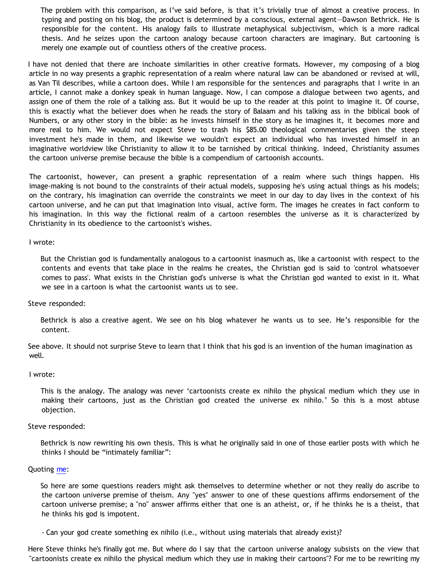The problem with this comparison, as I've said before, is that it's trivially true of almost a creative process. In typing and posting on his blog, the product is determined by a conscious, external agent—Dawson Bethrick. He is responsible for the content. His analogy fails to illustrate metaphysical subjectivism, which is a more radical thesis. And he seizes upon the cartoon analogy because cartoon characters are imaginary. But cartooning is merely one example out of countless others of the creative process.

I have not denied that there are inchoate similarities in other creative formats. However, my composing of a blog article in no way presents a graphic representation of a realm where natural law can be abandoned or revised at will, as Van Til describes, while a cartoon does. While I am responsible for the sentences and paragraphs that I write in an article, I cannot make a donkey speak in human language. Now, I can compose a dialogue between two agents, and assign one of them the role of a talking ass. But it would be up to the reader at this point to imagine it. Of course, this is exactly what the believer does when he reads the story of Balaam and his talking ass in the biblical book of Numbers, or any other story in the bible: as he invests himself in the story as he imagines it, it becomes more and more real to him. We would not expect Steve to trash his \$85.00 theological commentaries given the steep investment he's made in them, and likewise we wouldn't expect an individual who has invested himself in an imaginative worldview like Christianity to allow it to be tarnished by critical thinking. Indeed, Christianity assumes the cartoon universe premise because the bible is a compendium of cartoonish accounts.

The cartoonist, however, can present a graphic representation of a realm where such things happen. His image-making is not bound to the constraints of their actual models, supposing he's using actual things as his models; on the contrary, his imagination can override the constraints we meet in our day to day lives in the context of his cartoon universe, and he can put that imagination into visual, active form. The images he creates in fact conform to his imagination. In this way the fictional realm of a cartoon resembles the universe as it is characterized by Christianity in its obedience to the cartoonist's wishes.

#### I wrote:

But the Christian god is fundamentally analogous to a cartoonist inasmuch as, like a cartoonist with respect to the contents and events that take place in the realms he creates, the Christian god is said to 'control whatsoever comes to pass'. What exists in the Christian god's universe is what the Christian god wanted to exist in it. What we see in a cartoon is what the cartoonist wants us to see.

## Steve responded:

Bethrick is also a creative agent. We see on his blog whatever he wants us to see. He's responsible for the content.

See above. It should not surprise Steve to learn that I think that his god is an invention of the human imagination as well.

#### I wrote:

This is the analogy. The analogy was never 'cartoonists create ex nihilo the physical medium which they use in making their cartoons, just as the Christian god created the universe ex nihilo.' So this is a most abtuse objection.

#### Steve responded:

Bethrick is now rewriting his own thesis. This is what he originally said in one of those earlier posts with which he thinks I should be "intimately familiar":

#### Quoting [me](http://bahnsenburner.blogspot.com/2005/04/omnipotence-and-sovereignty-in-cartoon.html):

So here are some questions readers might ask themselves to determine whether or not they really do ascribe to the cartoon universe premise of theism. Any "yes" answer to one of these questions affirms endorsement of the cartoon universe premise; a "no" answer affirms either that one is an atheist, or, if he thinks he is a theist, that he thinks his god is impotent.

- Can your god create something ex nihilo (i.e., without using materials that already exist)?

Here Steve thinks he's finally got me. But where do I say that the cartoon universe analogy subsists on the view that "cartoonists create ex nihilo the physical medium which they use in making their cartoons"? For me to be rewriting my